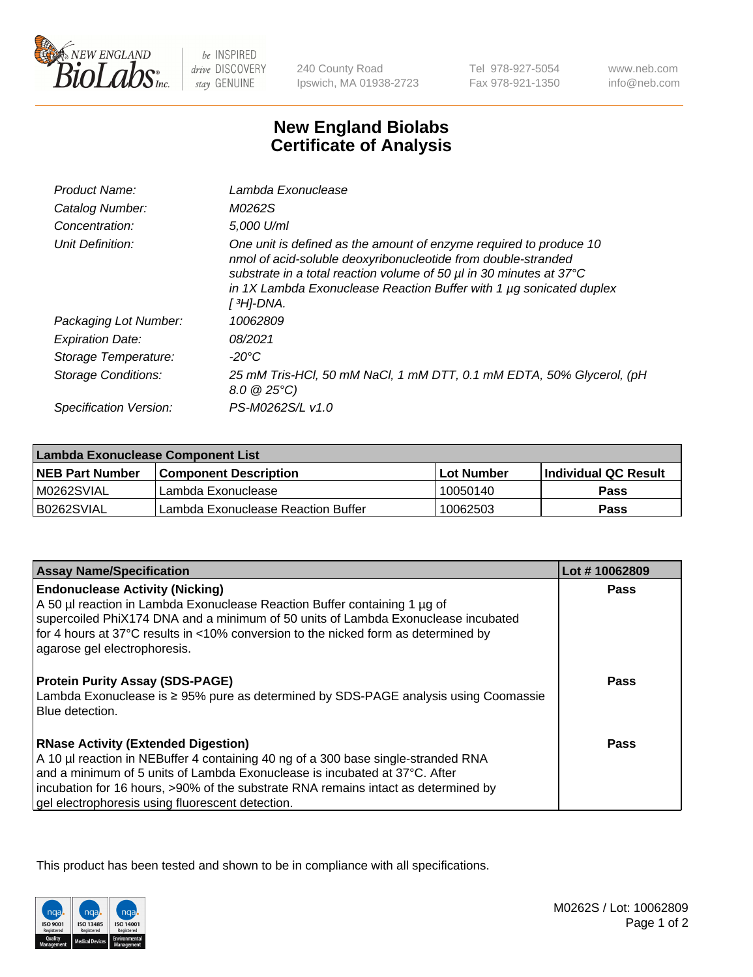

 $be$  INSPIRED drive DISCOVERY stay GENUINE

240 County Road Ipswich, MA 01938-2723

Tel 978-927-5054 Fax 978-921-1350 www.neb.com info@neb.com

## **New England Biolabs Certificate of Analysis**

| Product Name:           | Lambda Exonuclease                                                                                                                                                                                                                                                                                   |
|-------------------------|------------------------------------------------------------------------------------------------------------------------------------------------------------------------------------------------------------------------------------------------------------------------------------------------------|
| Catalog Number:         | M0262S                                                                                                                                                                                                                                                                                               |
| Concentration:          | 5,000 U/ml                                                                                                                                                                                                                                                                                           |
| Unit Definition:        | One unit is defined as the amount of enzyme required to produce 10<br>nmol of acid-soluble deoxyribonucleotide from double-stranded<br>substrate in a total reaction volume of 50 µl in 30 minutes at 37°C<br>in 1X Lambda Exonuclease Reaction Buffer with 1 $\mu$ g sonicated duplex<br>[ 3H]-DNA. |
| Packaging Lot Number:   | 10062809                                                                                                                                                                                                                                                                                             |
| <b>Expiration Date:</b> | 08/2021                                                                                                                                                                                                                                                                                              |
| Storage Temperature:    | $-20^{\circ}$ C                                                                                                                                                                                                                                                                                      |
| Storage Conditions:     | 25 mM Tris-HCl, 50 mM NaCl, 1 mM DTT, 0.1 mM EDTA, 50% Glycerol, (pH<br>$8.0 \ @ 25^{\circ}C$                                                                                                                                                                                                        |
| Specification Version:  | PS-M0262S/L v1.0                                                                                                                                                                                                                                                                                     |
|                         |                                                                                                                                                                                                                                                                                                      |

| Lambda Exonuclease Component List |                                    |             |                             |  |
|-----------------------------------|------------------------------------|-------------|-----------------------------|--|
| <b>NEB Part Number</b>            | l Component Description            | ⊺Lot Number | <b>Individual QC Result</b> |  |
| IM0262SVIAL                       | Lambda Exonuclease                 | 10050140    | <b>Pass</b>                 |  |
| IB0262SVIAL                       | Lambda Exonuclease Reaction Buffer | 10062503    | Pass                        |  |

| <b>Assay Name/Specification</b>                                                     | Lot #10062809 |
|-------------------------------------------------------------------------------------|---------------|
| <b>Endonuclease Activity (Nicking)</b>                                              | <b>Pass</b>   |
| A 50 µl reaction in Lambda Exonuclease Reaction Buffer containing 1 µg of           |               |
| supercoiled PhiX174 DNA and a minimum of 50 units of Lambda Exonuclease incubated   |               |
| for 4 hours at 37°C results in <10% conversion to the nicked form as determined by  |               |
| agarose gel electrophoresis.                                                        |               |
| <b>Protein Purity Assay (SDS-PAGE)</b>                                              | Pass          |
| Lambda Exonuclease is ≥ 95% pure as determined by SDS-PAGE analysis using Coomassie |               |
| Blue detection.                                                                     |               |
|                                                                                     |               |
| <b>RNase Activity (Extended Digestion)</b>                                          | Pass          |
| A 10 µl reaction in NEBuffer 4 containing 40 ng of a 300 base single-stranded RNA   |               |
| and a minimum of 5 units of Lambda Exonuclease is incubated at 37°C. After          |               |
| incubation for 16 hours, >90% of the substrate RNA remains intact as determined by  |               |
| gel electrophoresis using fluorescent detection.                                    |               |

This product has been tested and shown to be in compliance with all specifications.